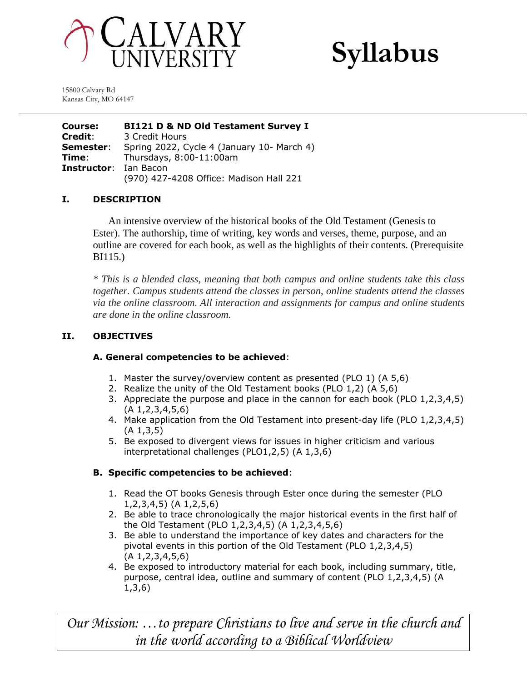



15800 Calvary Rd Kansas City, MO 64147

**Course: BI121 D & ND Old Testament Survey I Credit**: 3 Credit Hours **Semester:** Spring 2022, Cycle 4 (January 10- March 4) **Time**: Thursdays, 8:00-11:00am **Instructor**: Ian Bacon (970) 427-4208 Office: Madison Hall 221

# **I. DESCRIPTION**

An intensive overview of the historical books of the Old Testament (Genesis to Ester). The authorship, time of writing, key words and verses, theme, purpose, and an outline are covered for each book, as well as the highlights of their contents. (Prerequisite BI115.)

*\* This is a blended class, meaning that both campus and online students take this class together. Campus students attend the classes in person, online students attend the classes via the online classroom. All interaction and assignments for campus and online students are done in the online classroom.*

# **II. OBJECTIVES**

# **A. General competencies to be achieved**:

- 1. Master the survey/overview content as presented (PLO 1) (A 5,6)
- 2. Realize the unity of the Old Testament books (PLO 1,2) (A 5,6)
- 3. Appreciate the purpose and place in the cannon for each book (PLO 1,2,3,4,5) (A 1,2,3,4,5,6)
- 4. Make application from the Old Testament into present-day life (PLO 1,2,3,4,5) (A 1,3,5)
- 5. Be exposed to divergent views for issues in higher criticism and various interpretational challenges (PLO1,2,5) (A 1,3,6)

# **B. Specific competencies to be achieved**:

- 1. Read the OT books Genesis through Ester once during the semester (PLO 1,2,3,4,5) (A 1,2,5,6)
- 2. Be able to trace chronologically the major historical events in the first half of the Old Testament (PLO 1,2,3,4,5) (A 1,2,3,4,5,6)
- 3. Be able to understand the importance of key dates and characters for the pivotal events in this portion of the Old Testament (PLO 1,2,3,4,5) (A 1,2,3,4,5,6)
- 4. Be exposed to introductory material for each book, including summary, title, purpose, central idea, outline and summary of content (PLO 1,2,3,4,5) (A 1,3,6)

*Our Mission: …to prepare Christians to live and serve in the church and in the world according to a Biblical Worldview*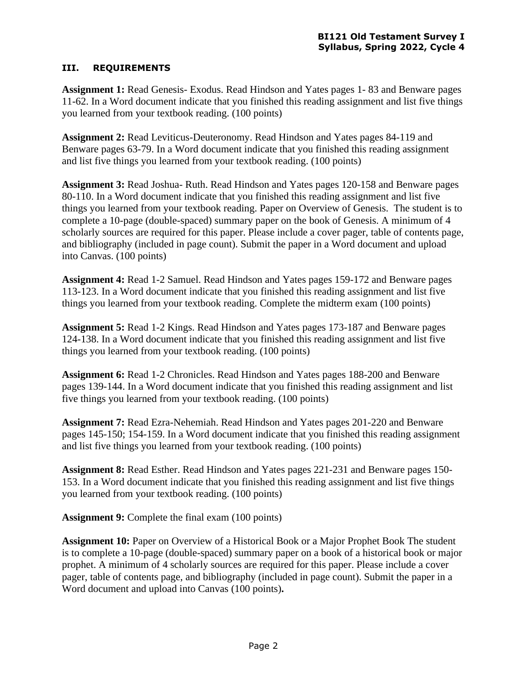# **III. REQUIREMENTS**

**Assignment 1:** Read Genesis- Exodus. Read Hindson and Yates pages 1- 83 and Benware pages 11-62. In a Word document indicate that you finished this reading assignment and list five things you learned from your textbook reading. (100 points)

**Assignment 2:** Read Leviticus-Deuteronomy. Read Hindson and Yates pages 84-119 and Benware pages 63-79. In a Word document indicate that you finished this reading assignment and list five things you learned from your textbook reading. (100 points)

**Assignment 3:** Read Joshua- Ruth. Read Hindson and Yates pages 120-158 and Benware pages 80-110. In a Word document indicate that you finished this reading assignment and list five things you learned from your textbook reading. Paper on Overview of Genesis. The student is to complete a 10-page (double-spaced) summary paper on the book of Genesis. A minimum of 4 scholarly sources are required for this paper. Please include a cover pager, table of contents page, and bibliography (included in page count). Submit the paper in a Word document and upload into Canvas. (100 points)

**Assignment 4:** Read 1-2 Samuel. Read Hindson and Yates pages 159-172 and Benware pages 113-123. In a Word document indicate that you finished this reading assignment and list five things you learned from your textbook reading. Complete the midterm exam (100 points)

**Assignment 5:** Read 1-2 Kings. Read Hindson and Yates pages 173-187 and Benware pages 124-138. In a Word document indicate that you finished this reading assignment and list five things you learned from your textbook reading. (100 points)

**Assignment 6:** Read 1-2 Chronicles. Read Hindson and Yates pages 188-200 and Benware pages 139-144. In a Word document indicate that you finished this reading assignment and list five things you learned from your textbook reading. (100 points)

**Assignment 7:** Read Ezra-Nehemiah. Read Hindson and Yates pages 201-220 and Benware pages 145-150; 154-159. In a Word document indicate that you finished this reading assignment and list five things you learned from your textbook reading. (100 points)

**Assignment 8:** Read Esther. Read Hindson and Yates pages 221-231 and Benware pages 150- 153. In a Word document indicate that you finished this reading assignment and list five things you learned from your textbook reading. (100 points)

**Assignment 9:** Complete the final exam (100 points)

**Assignment 10:** Paper on Overview of a Historical Book or a Major Prophet Book The student is to complete a 10-page (double-spaced) summary paper on a book of a historical book or major prophet. A minimum of 4 scholarly sources are required for this paper. Please include a cover pager, table of contents page, and bibliography (included in page count). Submit the paper in a Word document and upload into Canvas (100 points)**.**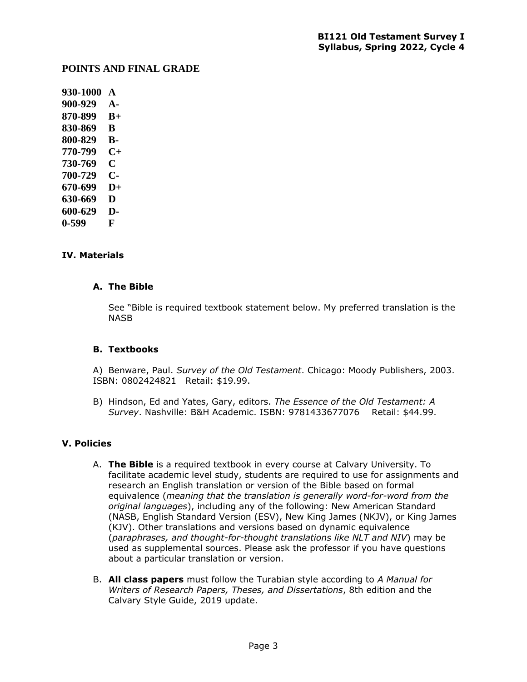### **POINTS AND FINAL GRADE**

**930-1000 A 900-929 A-870-899 B+ 830-869 B 800-829 B-770-799 C+ 730-769 C 700-729 C-670-699 D+ 630-669 D 600-629 D-0-599 F**

### **IV. Materials**

#### **A. The Bible**

See "Bible is required textbook statement below. My preferred translation is the NASB

#### **B. Textbooks**

A) Benware, Paul. *Survey of the Old Testament*. Chicago: Moody Publishers, 2003. ISBN: 0802424821 Retail: \$19.99.

B) Hindson, Ed and Yates, Gary, editors. *The Essence of the Old Testament: A Survey*. Nashville: B&H Academic. ISBN: 9781433677076 Retail: \$44.99.

#### **V. Policies**

- A. **The Bible** is a required textbook in every course at Calvary University. To facilitate academic level study, students are required to use for assignments and research an English translation or version of the Bible based on formal equivalence (*meaning that the translation is generally word-for-word from the original languages*), including any of the following: New American Standard (NASB, English Standard Version (ESV), New King James (NKJV), or King James (KJV). Other translations and versions based on dynamic equivalence (*paraphrases, and thought-for-thought translations like NLT and NIV*) may be used as supplemental sources. Please ask the professor if you have questions about a particular translation or version.
- B. **All class papers** must follow the Turabian style according to *A Manual for Writers of Research Papers, Theses, and Dissertations*, 8th edition and the Calvary Style Guide, 2019 update.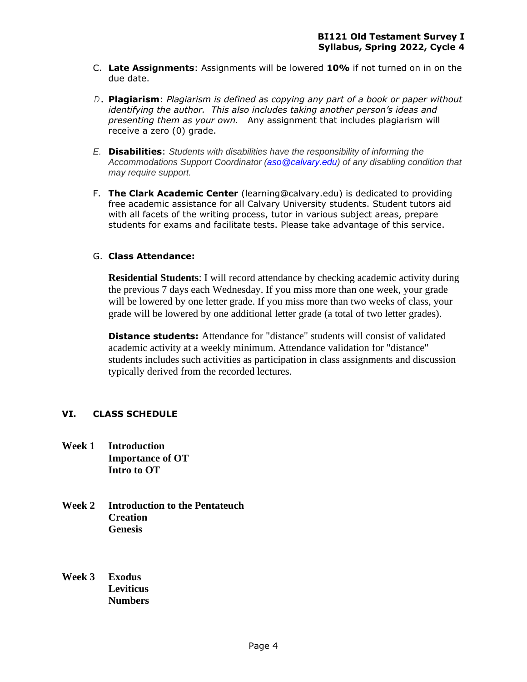- C. **Late Assignments**: Assignments will be lowered **10%** if not turned on in on the due date.
- *D.* **Plagiarism**: *Plagiarism is defined as copying any part of a book or paper without identifying the author. This also includes taking another person's ideas and presenting them as your own.* Any assignment that includes plagiarism will receive a zero (0) grade.
- *E.* **Disabilities**: *Students with disabilities have the responsibility of informing the Accommodations Support Coordinator (aso@calvary.edu) of any disabling condition that may require support.*
- F. **The Clark Academic Center** (learning@calvary.edu) is dedicated to providing free academic assistance for all Calvary University students. Student tutors aid with all facets of the writing process, tutor in various subject areas, prepare students for exams and facilitate tests. Please take advantage of this service.

# G. **Class Attendance:**

**Residential Students**: I will record attendance by checking academic activity during the previous 7 days each Wednesday. If you miss more than one week, your grade will be lowered by one letter grade. If you miss more than two weeks of class, your grade will be lowered by one additional letter grade (a total of two letter grades).

**Distance students:** Attendance for "distance" students will consist of validated academic activity at a weekly minimum. Attendance validation for "distance" students includes such activities as participation in class assignments and discussion typically derived from the recorded lectures.

# **VI. CLASS SCHEDULE**

- **Week 1 Introduction Importance of OT Intro to OT**
- **Week 2 Introduction to the Pentateuch Creation Genesis**
- **Week 3 Exodus Leviticus Numbers**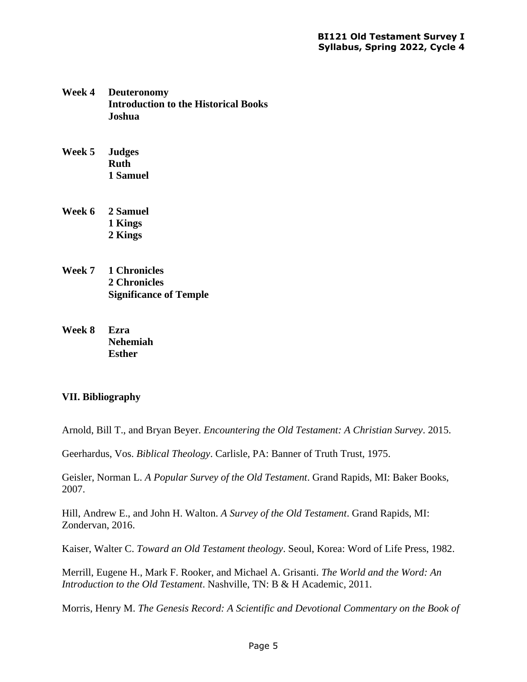- **Week 4 Deuteronomy Introduction to the Historical Books Joshua**
- **Week 5 Judges Ruth 1 Samuel**
- **Week 6 2 Samuel 1 Kings 2 Kings**
- **Week 7 1 Chronicles 2 Chronicles Significance of Temple**
- **Week 8 Ezra Nehemiah Esther**

# **VII. Bibliography**

Arnold, Bill T., and Bryan Beyer. *Encountering the Old Testament: A Christian Survey*. 2015.

Geerhardus, Vos. *Biblical Theology*. Carlisle, PA: Banner of Truth Trust, 1975.

Geisler, Norman L. *A Popular Survey of the Old Testament*. Grand Rapids, MI: Baker Books, 2007.

Hill, Andrew E., and John H. Walton. *A Survey of the Old Testament*. Grand Rapids, MI: Zondervan, 2016.

Kaiser, Walter C. *Toward an Old Testament theology*. Seoul, Korea: Word of Life Press, 1982.

Merrill, Eugene H., Mark F. Rooker, and Michael A. Grisanti. *The World and the Word: An Introduction to the Old Testament*. Nashville, TN: B & H Academic, 2011.

Morris, Henry M. *The Genesis Record: A Scientific and Devotional Commentary on the Book of*